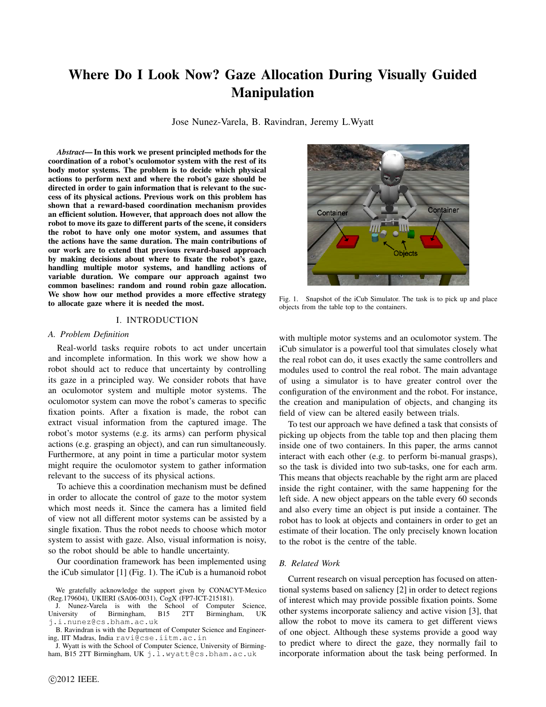# Where Do I Look Now? Gaze Allocation During Visually Guided Manipulation

Jose Nunez-Varela, B. Ravindran, Jeremy L.Wyatt

*Abstract*— In this work we present principled methods for the coordination of a robot's oculomotor system with the rest of its body motor systems. The problem is to decide which physical actions to perform next and where the robot's gaze should be directed in order to gain information that is relevant to the success of its physical actions. Previous work on this problem has shown that a reward-based coordination mechanism provides an efficient solution. However, that approach does not allow the robot to move its gaze to different parts of the scene, it considers the robot to have only one motor system, and assumes that the actions have the same duration. The main contributions of our work are to extend that previous reward-based approach by making decisions about where to fixate the robot's gaze, handling multiple motor systems, and handling actions of variable duration. We compare our approach against two common baselines: random and round robin gaze allocation. We show how our method provides a more effective strategy to allocate gaze where it is needed the most.

## I. INTRODUCTION

## *A. Problem Definition*

Real-world tasks require robots to act under uncertain and incomplete information. In this work we show how a robot should act to reduce that uncertainty by controlling its gaze in a principled way. We consider robots that have an oculomotor system and multiple motor systems. The oculomotor system can move the robot's cameras to specific fixation points. After a fixation is made, the robot can extract visual information from the captured image. The robot's motor systems (e.g. its arms) can perform physical actions (e.g. grasping an object), and can run simultaneously. Furthermore, at any point in time a particular motor system might require the oculomotor system to gather information relevant to the success of its physical actions.

To achieve this a coordination mechanism must be defined in order to allocate the control of gaze to the motor system which most needs it. Since the camera has a limited field of view not all different motor systems can be assisted by a single fixation. Thus the robot needs to choose which motor system to assist with gaze. Also, visual information is noisy, so the robot should be able to handle uncertainty.

Our coordination framework has been implemented using the iCub simulator [1] (Fig. 1). The iCub is a humanoid robot

J. Nunez-Varela is with the School of Computer Science, University of Birmingham, B15 2TT Birmingham, UK j.i.nunez@cs.bham.ac.uk

B. Ravindran is with the Department of Computer Science and Engineering, IIT Madras, India ravi@cse.iitm.ac.in

J. Wyatt is with the School of Computer Science, University of Birmingham, B15 2TT Birmingham, UK j.l.wyatt@cs.bham.ac.uk



Fig. 1. Snapshot of the iCub Simulator. The task is to pick up and place objects from the table top to the containers.

with multiple motor systems and an oculomotor system. The iCub simulator is a powerful tool that simulates closely what the real robot can do, it uses exactly the same controllers and modules used to control the real robot. The main advantage of using a simulator is to have greater control over the configuration of the environment and the robot. For instance, the creation and manipulation of objects, and changing its field of view can be altered easily between trials.

To test our approach we have defined a task that consists of picking up objects from the table top and then placing them inside one of two containers. In this paper, the arms cannot interact with each other (e.g. to perform bi-manual grasps), so the task is divided into two sub-tasks, one for each arm. This means that objects reachable by the right arm are placed inside the right container, with the same happening for the left side. A new object appears on the table every 60 seconds and also every time an object is put inside a container. The robot has to look at objects and containers in order to get an estimate of their location. The only precisely known location to the robot is the centre of the table.

## *B. Related Work*

Current research on visual perception has focused on attentional systems based on saliency [2] in order to detect regions of interest which may provide possible fixation points. Some other systems incorporate saliency and active vision [3], that allow the robot to move its camera to get different views of one object. Although these systems provide a good way to predict where to direct the gaze, they normally fail to incorporate information about the task being performed. In

We gratefully acknowledge the support given by CONACYT-Mexico (Reg.179604), UKIERI (SA06-0031), CogX (FP7-ICT-215181).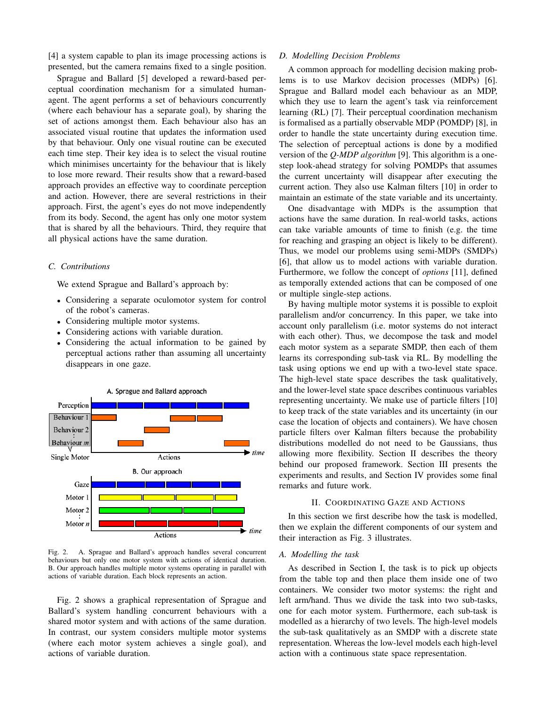[4] a system capable to plan its image processing actions is presented, but the camera remains fixed to a single position.

Sprague and Ballard [5] developed a reward-based perceptual coordination mechanism for a simulated humanagent. The agent performs a set of behaviours concurrently (where each behaviour has a separate goal), by sharing the set of actions amongst them. Each behaviour also has an associated visual routine that updates the information used by that behaviour. Only one visual routine can be executed each time step. Their key idea is to select the visual routine which minimises uncertainty for the behaviour that is likely to lose more reward. Their results show that a reward-based approach provides an effective way to coordinate perception and action. However, there are several restrictions in their approach. First, the agent's eyes do not move independently from its body. Second, the agent has only one motor system that is shared by all the behaviours. Third, they require that all physical actions have the same duration.

## *C. Contributions*

We extend Sprague and Ballard's approach by:

- Considering a separate oculomotor system for control of the robot's cameras.
- Considering multiple motor systems.
- Considering actions with variable duration.
- Considering the actual information to be gained by perceptual actions rather than assuming all uncertainty disappears in one gaze.



Fig. 2. A. Sprague and Ballard's approach handles several concurrent behaviours but only one motor system with actions of identical duration. B. Our approach handles multiple motor systems operating in parallel with actions of variable duration. Each block represents an action.

Fig. 2 shows a graphical representation of Sprague and Ballard's system handling concurrent behaviours with a shared motor system and with actions of the same duration. In contrast, our system considers multiple motor systems (where each motor system achieves a single goal), and actions of variable duration.

#### *D. Modelling Decision Problems*

A common approach for modelling decision making problems is to use Markov decision processes (MDPs) [6]. Sprague and Ballard model each behaviour as an MDP, which they use to learn the agent's task via reinforcement learning (RL) [7]. Their perceptual coordination mechanism is formalised as a partially observable MDP (POMDP) [8], in order to handle the state uncertainty during execution time. The selection of perceptual actions is done by a modified version of the *Q-MDP algorithm* [9]. This algorithm is a onestep look-ahead strategy for solving POMDPs that assumes the current uncertainty will disappear after executing the current action. They also use Kalman filters [10] in order to maintain an estimate of the state variable and its uncertainty.

One disadvantage with MDPs is the assumption that actions have the same duration. In real-world tasks, actions can take variable amounts of time to finish (e.g. the time for reaching and grasping an object is likely to be different). Thus, we model our problems using semi-MDPs (SMDPs) [6], that allow us to model actions with variable duration. Furthermore, we follow the concept of *options* [11], defined as temporally extended actions that can be composed of one or multiple single-step actions.

By having multiple motor systems it is possible to exploit parallelism and/or concurrency. In this paper, we take into account only parallelism (i.e. motor systems do not interact with each other). Thus, we decompose the task and model each motor system as a separate SMDP, then each of them learns its corresponding sub-task via RL. By modelling the task using options we end up with a two-level state space. The high-level state space describes the task qualitatively, and the lower-level state space describes continuous variables representing uncertainty. We make use of particle filters [10] to keep track of the state variables and its uncertainty (in our case the location of objects and containers). We have chosen particle filters over Kalman filters because the probability distributions modelled do not need to be Gaussians, thus allowing more flexibility. Section II describes the theory behind our proposed framework. Section III presents the experiments and results, and Section IV provides some final remarks and future work.

# II. COORDINATING GAZE AND ACTIONS

In this section we first describe how the task is modelled, then we explain the different components of our system and their interaction as Fig. 3 illustrates.

# *A. Modelling the task*

As described in Section I, the task is to pick up objects from the table top and then place them inside one of two containers. We consider two motor systems: the right and left arm/hand. Thus we divide the task into two sub-tasks, one for each motor system. Furthermore, each sub-task is modelled as a hierarchy of two levels. The high-level models the sub-task qualitatively as an SMDP with a discrete state representation. Whereas the low-level models each high-level action with a continuous state space representation.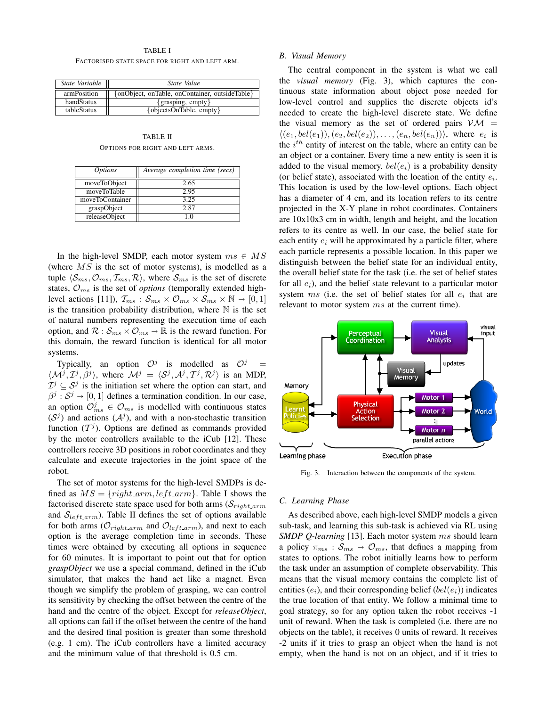# TABLE I

#### FACTORISED STATE SPACE FOR RIGHT AND LEFT ARM.

| State Variable | State Value                                    |
|----------------|------------------------------------------------|
| armPosition    | {onObject, onTable, onContainer, outsideTable} |
| handStatus     | ${grasping, empty}$                            |
| tableStatus    | $\{objectsOnTable, empty\}$                    |

TABLE II OPTIONS FOR RIGHT AND LEFT ARMS.

| <i>Options</i>  | Average completion time (secs) |
|-----------------|--------------------------------|
| moveToObject    | 2.65                           |
| moveToTable     | 2.95                           |
| moveToContainer | 3.25                           |
| graspObject     | 2.87                           |
| releaseObject   |                                |

In the high-level SMDP, each motor system  $ms \in MS$ (where  $MS$  is the set of motor systems), is modelled as a tuple  $\langle S_{ms}, O_{ms}, T_{ms}, R \rangle$ , where  $S_{ms}$  is the set of discrete states,  $\mathcal{O}_{ms}$  is the set of *options* (temporally extended highlevel actions [11]),  $T_{ms}$ :  $S_{ms} \times \mathcal{O}_{ms} \times S_{ms} \times \mathbb{N} \rightarrow [0, 1]$ is the transition probability distribution, where  $\mathbb N$  is the set of natural numbers representing the execution time of each option, and  $\mathcal{R}: \mathcal{S}_{ms} \times \mathcal{O}_{ms} \to \mathbb{R}$  is the reward function. For this domain, the reward function is identical for all motor systems.

Typically, an option  $\mathcal{O}^{j}$  is modelled as  $\mathcal{O}^{j}$  =  $\langle \mathcal{M}^j, \mathcal{I}^j, \beta^j \rangle$ , where  $\mathcal{M}^j = \langle \mathcal{S}^j, \mathcal{A}^j, \mathcal{T}^j, \mathcal{R}^j \rangle$  is an MDP,  $\mathcal{I}^j \subseteq \mathcal{S}^j$  is the initiation set where the option can start, and  $\beta^j : S^j \to [0, 1]$  defines a termination condition. In our case, an option  $\mathcal{O}_{ms}^j \in \mathcal{O}_{ms}$  is modelled with continuous states  $(S<sup>j</sup>)$  and actions  $(A<sup>j</sup>)$ , and with a non-stochastic transition function  $(T<sup>j</sup>)$ . Options are defined as commands provided by the motor controllers available to the iCub [12]. These controllers receive 3D positions in robot coordinates and they calculate and execute trajectories in the joint space of the robot.

The set of motor systems for the high-level SMDPs is defined as  $MS = \{right\_arm, left\_arm\}$ . Table I shows the factorised discrete state space used for both arms  $(S_{right\_arm}$ and  $S_{left-arm}$ ). Table II defines the set of options available for both arms ( $\mathcal{O}_{right\_arm}$  and  $\mathcal{O}_{left\_arm}$ ), and next to each option is the average completion time in seconds. These times were obtained by executing all options in sequence for 60 minutes. It is important to point out that for option *graspObject* we use a special command, defined in the iCub simulator, that makes the hand act like a magnet. Even though we simplify the problem of grasping, we can control its sensitivity by checking the offset between the centre of the hand and the centre of the object. Except for *releaseObject*, all options can fail if the offset between the centre of the hand and the desired final position is greater than some threshold (e.g. 1 cm). The iCub controllers have a limited accuracy and the minimum value of that threshold is 0.5 cm.

## *B. Visual Memory*

The central component in the system is what we call the *visual memory* (Fig. 3), which captures the continuous state information about object pose needed for low-level control and supplies the discrete objects id's needed to create the high-level discrete state. We define the visual memory as the set of ordered pairs  $VM =$  $\langle (e_1, bel(e_1)), (e_2, bel(e_2)), \ldots, (e_n, bel(e_n)) \rangle$ , where  $e_i$  is the  $i<sup>th</sup>$  entity of interest on the table, where an entity can be an object or a container. Every time a new entity is seen it is added to the visual memory.  $bel(e_i)$  is a probability density (or belief state), associated with the location of the entity  $e_i$ . This location is used by the low-level options. Each object has a diameter of 4 cm, and its location refers to its centre projected in the X-Y plane in robot coordinates. Containers are 10x10x3 cm in width, length and height, and the location refers to its centre as well. In our case, the belief state for each entity  $e_i$  will be approximated by a particle filter, where each particle represents a possible location. In this paper we distinguish between the belief state for an individual entity, the overall belief state for the task (i.e. the set of belief states for all  $e_i$ ), and the belief state relevant to a particular motor system  $ms$  (i.e. the set of belief states for all  $e_i$  that are relevant to motor system  $ms$  at the current time).



Fig. 3. Interaction between the components of the system.

## *C. Learning Phase*

As described above, each high-level SMDP models a given sub-task, and learning this sub-task is achieved via RL using *SMDP Q-learning* [13]. Each motor system ms should learn a policy  $\pi_{ms}$ :  $S_{ms}$   $\rightarrow$   $\mathcal{O}_{ms}$ , that defines a mapping from states to options. The robot initially learns how to perform the task under an assumption of complete observability. This means that the visual memory contains the complete list of entities  $(e_i)$ , and their corresponding belief  $(bel(e_i))$  indicates the true location of that entity. We follow a minimal time to goal strategy, so for any option taken the robot receives -1 unit of reward. When the task is completed (i.e. there are no objects on the table), it receives 0 units of reward. It receives -2 units if it tries to grasp an object when the hand is not empty, when the hand is not on an object, and if it tries to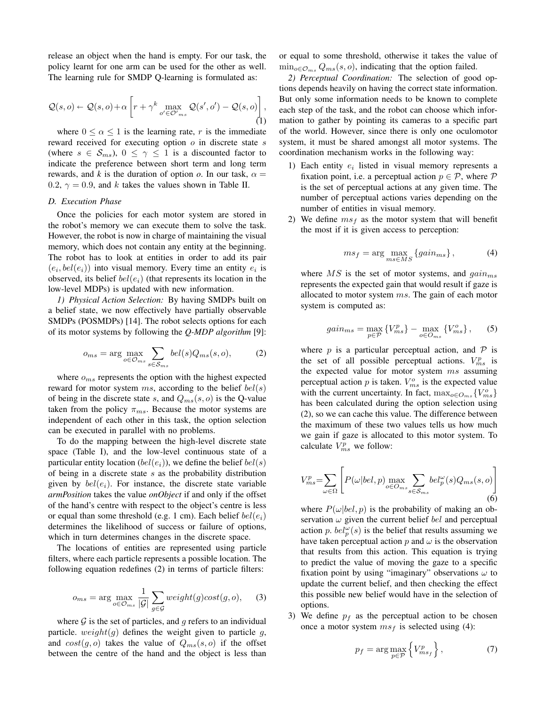release an object when the hand is empty. For our task, the policy learnt for one arm can be used for the other as well. The learning rule for SMDP Q-learning is formulated as:

$$
Q(s, o) \leftarrow Q(s, o) + \alpha \left[ r + \gamma^k \max_{o' \in \mathcal{O'}_{ms}} Q(s', o') - Q(s, o) \right],
$$
(1)

where  $0 \le \alpha \le 1$  is the learning rate, r is the immediate reward received for executing option  $o$  in discrete state  $s$ (where  $s \in S_{ms}$ ),  $0 \leq \gamma \leq 1$  is a discounted factor to indicate the preference between short term and long term rewards, and *k* is the duration of option *o*. In our task,  $\alpha =$ 0.2,  $\gamma = 0.9$ , and k takes the values shown in Table II.

## *D. Execution Phase*

Once the policies for each motor system are stored in the robot's memory we can execute them to solve the task. However, the robot is now in charge of maintaining the visual memory, which does not contain any entity at the beginning. The robot has to look at entities in order to add its pair  $(e_i, bel(e_i))$  into visual memory. Every time an entity  $e_i$  is observed, its belief  $bel(e_i)$  (that represents its location in the low-level MDPs) is updated with new information.

*1) Physical Action Selection:* By having SMDPs built on a belief state, we now effectively have partially observable SMDPs (POSMDPs) [14]. The robot selects options for each of its motor systems by following the *Q-MDP algorithm* [9]:

$$
o_{ms} = \arg\max_{o \in \mathcal{O}_{ms}} \sum_{s \in \mathcal{S}_{ms}} bel(s)Q_{ms}(s, o), \tag{2}
$$

where  $o_{ms}$  represents the option with the highest expected reward for motor system  $ms$ , according to the belief  $bel(s)$ of being in the discrete state s, and  $Q_{ms}(s, o)$  is the Q-value taken from the policy  $\pi_{ms}$ . Because the motor systems are independent of each other in this task, the option selection can be executed in parallel with no problems.

To do the mapping between the high-level discrete state space (Table I), and the low-level continuous state of a particular entity location (bel(e<sub>i</sub>)), we define the belief bel(s) of being in a discrete state s as the probability distribution given by  $bel(e_i)$ . For instance, the discrete state variable *armPosition* takes the value *onObject* if and only if the offset of the hand's centre with respect to the object's centre is less or equal than some threshold (e.g. 1 cm). Each belief  $bel(e_i)$ determines the likelihood of success or failure of options, which in turn determines changes in the discrete space.

The locations of entities are represented using particle filters, where each particle represents a possible location. The following equation redefines (2) in terms of particle filters:

$$
o_{ms} = \arg\max_{o \in \mathcal{O}_{ms}} \frac{1}{|\mathcal{G}|} \sum_{g \in \mathcal{G}} weight(g) cost(g, o), \quad (3)
$$

where  $\mathcal G$  is the set of particles, and  $q$  refers to an individual particle.  $weight(g)$  defines the weight given to particle g, and  $cost(g, o)$  takes the value of  $Q_{ms}(s, o)$  if the offset between the centre of the hand and the object is less than or equal to some threshold, otherwise it takes the value of  $\min_{o \in \mathcal{O}_{ms}} Q_{ms}(s, o)$ , indicating that the option failed.

*2) Perceptual Coordination:* The selection of good options depends heavily on having the correct state information. But only some information needs to be known to complete each step of the task, and the robot can choose which information to gather by pointing its cameras to a specific part of the world. However, since there is only one oculomotor system, it must be shared amongst all motor systems. The coordination mechanism works in the following way:

- 1) Each entity  $e_i$  listed in visual memory represents a fixation point, i.e. a perceptual action  $p \in \mathcal{P}$ , where  $\mathcal P$ is the set of perceptual actions at any given time. The number of perceptual actions varies depending on the number of entities in visual memory.
- 2) We define  $ms_f$  as the motor system that will benefit the most if it is given access to perception:

$$
ms_f = \arg\max_{ms \in MS} \{gain_{ms}\},\tag{4}
$$

where  $MS$  is the set of motor systems, and  $gain_{ms}$ represents the expected gain that would result if gaze is allocated to motor system ms. The gain of each motor system is computed as:

$$
gain_{ms} = \max_{p \in \mathcal{P}} \left\{ V_{ms}^p \right\} - \max_{o \in O_{ms}} \left\{ V_{ms}^o \right\}, \qquad (5)
$$

where  $p$  is a particular perceptual action, and  $\mathcal P$  is the set of all possible perceptual actions.  $V_{ms}^p$  is the expected value for motor system  $ms$  assuming perceptual action  $p$  is taken.  $V_{ms}^o$  is the expected value with the current uncertainty. In fact,  $\max_{o \in O_{ms}} \{V_{ms}^o\}$ has been calculated during the option selection using (2), so we can cache this value. The difference between the maximum of these two values tells us how much we gain if gaze is allocated to this motor system. To calculate  $V_{ms}^p$  we follow:

$$
V_{ms}^{p} = \sum_{\omega \in \Omega} \left[ P(\omega|bel, p) \max_{o \in O_{ms}} \sum_{s \in S_{ms}} bel_{p}^{\omega}(s) Q_{ms}(s, o) \right]
$$
(6)

where  $P(\omega|bel, p)$  is the probability of making an observation  $\omega$  given the current belief bel and perceptual action p.  $bel_p^{\omega}(s)$  is the belief that results assuming we have taken perceptual action p and  $\omega$  is the observation that results from this action. This equation is trying to predict the value of moving the gaze to a specific fixation point by using "imaginary" observations  $\omega$  to update the current belief, and then checking the effect this possible new belief would have in the selection of options.

3) We define  $p_f$  as the perceptual action to be chosen once a motor system  $ms<sub>f</sub>$  is selected using (4):

$$
p_f = \arg\max_{p \in \mathcal{P}} \left\{ V_{ms_f}^p \right\},\tag{7}
$$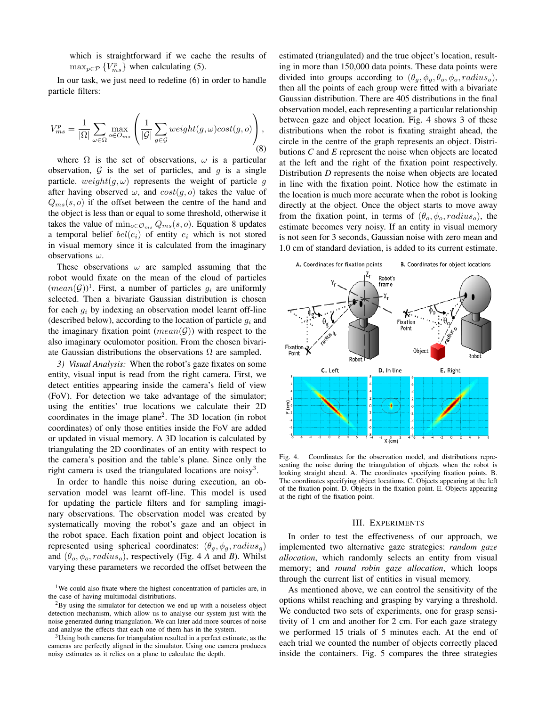which is straightforward if we cache the results of  $\max_{p \in \mathcal{P}} \{V_{ms}^p\}$  when calculating (5).

In our task, we just need to redefine (6) in order to handle particle filters:

$$
V_{ms}^{p} = \frac{1}{|\Omega|} \sum_{\omega \in \Omega} \max_{o \in O_{ms}} \left( \frac{1}{|\mathcal{G}|} \sum_{g \in \mathcal{G}} weight(g, \omega) cost(g, o) \right), \tag{8}
$$

where  $\Omega$  is the set of observations,  $\omega$  is a particular observation,  $G$  is the set of particles, and  $g$  is a single particle.  $weight(g, \omega)$  represents the weight of particle g after having observed  $\omega$ , and  $cost(g, o)$  takes the value of  $Q_{ms}(s, o)$  if the offset between the centre of the hand and the object is less than or equal to some threshold, otherwise it takes the value of  $\min_{o \in \mathcal{O}_{ms}} Q_{ms}(s, o)$ . Equation 8 updates a temporal belief  $bel(e_i)$  of entity  $e_i$  which is not stored in visual memory since it is calculated from the imaginary observations  $\omega$ .

These observations  $\omega$  are sampled assuming that the robot would fixate on the mean of the cloud of particles  $(mean(G))$ <sup>1</sup>. First, a number of particles  $g_i$  are uniformly selected. Then a bivariate Gaussian distribution is chosen for each  $g_i$  by indexing an observation model learnt off-line (described below), according to the location of particle  $g_i$  and the imaginary fixation point  $(\text{mean}(\mathcal{G}))$  with respect to the also imaginary oculomotor position. From the chosen bivariate Gaussian distributions the observations  $\Omega$  are sampled.

*3) Visual Analysis:* When the robot's gaze fixates on some entity, visual input is read from the right camera. First, we detect entities appearing inside the camera's field of view (FoV). For detection we take advantage of the simulator; using the entities' true locations we calculate their 2D coordinates in the image plane<sup>2</sup>. The 3D location (in robot coordinates) of only those entities inside the FoV are added or updated in visual memory. A 3D location is calculated by triangulating the 2D coordinates of an entity with respect to the camera's position and the table's plane. Since only the right camera is used the triangulated locations are noisy<sup>3</sup>.

In order to handle this noise during execution, an observation model was learnt off-line. This model is used for updating the particle filters and for sampling imaginary observations. The observation model was created by systematically moving the robot's gaze and an object in the robot space. Each fixation point and object location is represented using spherical coordinates:  $(\theta_g, \phi_g, radius_g)$ and  $(\theta_o, \phi_o, radius_o)$ , respectively (Fig. 4 *A* and *B*). Whilst varying these parameters we recorded the offset between the estimated (triangulated) and the true object's location, resulting in more than 150,000 data points. These data points were divided into groups according to  $(\theta_g, \phi_g, \theta_o, \phi_o, radius_o)$ , then all the points of each group were fitted with a bivariate Gaussian distribution. There are 405 distributions in the final observation model, each representing a particular relationship between gaze and object location. Fig. 4 shows 3 of these distributions when the robot is fixating straight ahead, the circle in the centre of the graph represents an object. Distributions *C* and *E* represent the noise when objects are located at the left and the right of the fixation point respectively. Distribution *D* represents the noise when objects are located in line with the fixation point. Notice how the estimate in the location is much more accurate when the robot is looking directly at the object. Once the object starts to move away from the fixation point, in terms of  $(\theta_o, \phi_o, radius_o)$ , the estimate becomes very noisy. If an entity in visual memory is not seen for 3 seconds, Gaussian noise with zero mean and 1.0 cm of standard deviation, is added to its current estimate.



Fig. 4. Coordinates for the observation model, and distributions representing the noise during the triangulation of objects when the robot is looking straight ahead. A. The coordinates specifying fixation points. B. The coordinates specifying object locations. C. Objects appearing at the left of the fixation point. D. Objects in the fixation point. E. Objects appearing at the right of the fixation point.

#### III. EXPERIMENTS

In order to test the effectiveness of our approach, we implemented two alternative gaze strategies: *random gaze allocation*, which randomly selects an entity from visual memory; and *round robin gaze allocation*, which loops through the current list of entities in visual memory.

As mentioned above, we can control the sensitivity of the options whilst reaching and grasping by varying a threshold. We conducted two sets of experiments, one for grasp sensitivity of 1 cm and another for 2 cm. For each gaze strategy we performed 15 trials of 5 minutes each. At the end of each trial we counted the number of objects correctly placed inside the containers. Fig. 5 compares the three strategies

<sup>&</sup>lt;sup>1</sup>We could also fixate where the highest concentration of particles are, in the case of having multimodal distributions.

<sup>2</sup>By using the simulator for detection we end up with a noiseless object detection mechanism, which allow us to analyse our system just with the noise generated during triangulation. We can later add more sources of noise and analyse the effects that each one of them has in the system.

<sup>3</sup>Using both cameras for triangulation resulted in a perfect estimate, as the cameras are perfectly aligned in the simulator. Using one camera produces noisy estimates as it relies on a plane to calculate the depth.